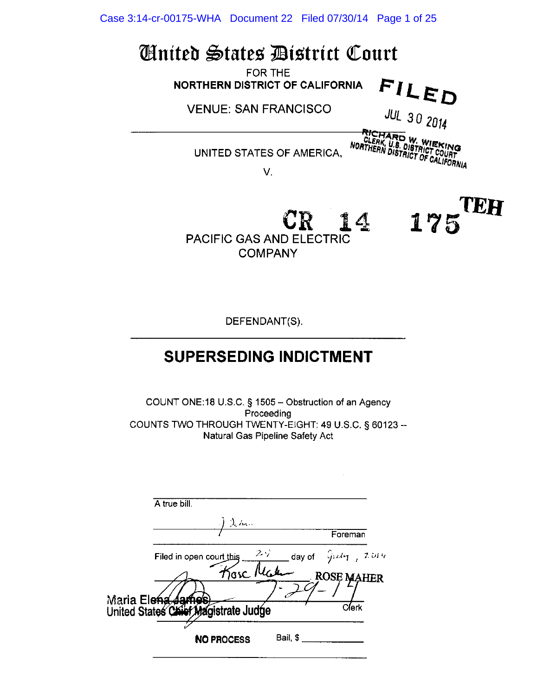Case 3:14-cr-00175-WHA Document 22 Filed 07/30/14 Page 1 of 25

# *United States District Court*

FOR THE NORTHERN DISTRICT OF CALIFORNIA

**VENUE: SAN FRANCISCO** 

**JUL 30 2014** 

FILED

UNITED STATES OF AMERICA.

**RICHARD W. WIEKING**<br>REERK, U.S. DISTRICT COURT<br>NORTHERN DISTRICT OF CALIFORNIA

175

CEH

V.



DEFENDANT(S).

## **SUPERSEDING INDICTMENT**

COUNT ONE:18 U.S.C. § 1505 - Obstruction of an Agency Proceeding COUNTS TWO THROUGH TWENTY-EIGHT: 49 U.S.C. § 60123 --Natural Gas Pipeline Safety Act

| A true bill.                            |                                       |
|-----------------------------------------|---------------------------------------|
| $\lambda$ h.                            |                                       |
|                                         | Foreman                               |
| $2\sqrt{ }$<br>Filed in open court this | day of $\int \hat{\mu} d\eta = 2.014$ |
| <i>T</i> iosc ly                        | <b>ROSE MAHER</b>                     |
| Maria Ele <del>na James</del>           |                                       |
| United States Chief Magistrate Judge    | Clerk                                 |
| Bail, \$<br><b>NO PROCESS</b>           |                                       |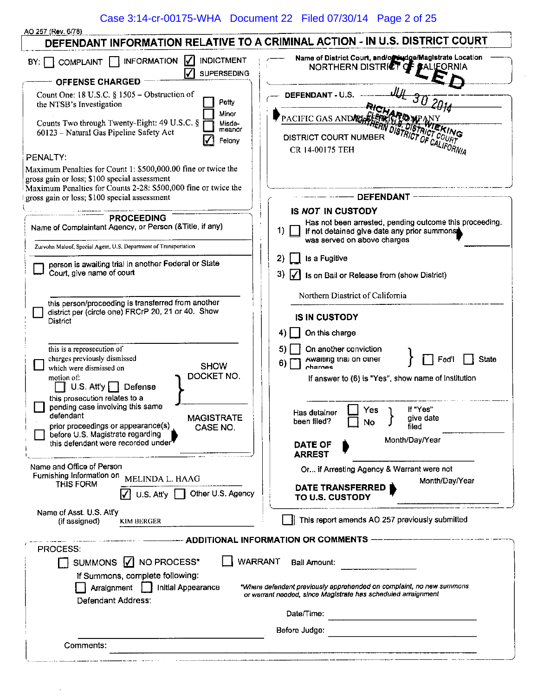### Case 3:14-cr-00175-WHA Document 22 Filed 07/30/14 Page 2 of 25

| AO 257 (Rev. 6/78)                                                                            |                                                                                                                                              |
|-----------------------------------------------------------------------------------------------|----------------------------------------------------------------------------------------------------------------------------------------------|
| DEFENDANT INFORMATION RELATIVE TO A CRIMINAL ACTION - IN U.S. DISTRICT COURT                  |                                                                                                                                              |
| <b>INDICTMENT</b><br>₩<br><b>INFORMATION</b><br><b>COMPLAINT</b><br>BY:<br><b>SUPERSEDING</b> | Name of District Court, and/orthudge/Magistrate Location<br>NORTHERN DISTRICT OF BALIFORNIA                                                  |
| <b>OFFENSE CHARGED</b>                                                                        |                                                                                                                                              |
| Count One: 18 U.S.C. § 1505 - Obstruction of                                                  | DEFENDANT - U.S.                                                                                                                             |
| Petty<br>the NTSB's Investigation                                                             |                                                                                                                                              |
| Minor<br>Counts Two through Twenty-Eight: 49 U.S.C. §<br>Misde-                               | PACIFIC GAS AND ELECTRO                                                                                                                      |
| meanor<br>60123 - Natural Gas Pipeline Safety Act                                             | <b>VIEKING</b>                                                                                                                               |
| Felony                                                                                        | DISTRICT OF CALIFORNIA<br><b>DISTRICT COURT NUMBER</b>                                                                                       |
| PENALTY:                                                                                      | CR 14-00175 TEH                                                                                                                              |
| Maximum Penalties for Count 1: \$500,000.00 fine or twice the                                 |                                                                                                                                              |
| gross gain or loss; \$100 special assessment                                                  |                                                                                                                                              |
| Maximum Penalties for Counts 2-28: \$500,000 fine or twice the                                | <b>DEFENDANT</b>                                                                                                                             |
| gross gain or loss; \$100 special assessment                                                  |                                                                                                                                              |
| <b>PROCEEDING</b>                                                                             | IS NOT IN CUSTODY                                                                                                                            |
| Name of Complaintant Agency, or Person (& Title, if any)                                      | Has not been arrested, pending outcome this proceeding.<br>1).<br>If not detained give date any prior summons<br>was served on above charges |
| Zurvohn Maloof, Special Agent, U.S. Department of Transportation                              | Is a Fugitive<br>2)                                                                                                                          |
| person is awaiting trial in another Federal or State<br>Court, give name of court             | 3)<br>Is on Bail or Release from (show District)                                                                                             |
|                                                                                               | Northern Diastrict of California                                                                                                             |
| this person/proceeding is transferred from another                                            |                                                                                                                                              |
| district per (circle one) FRCrP 20, 21 or 40. Show<br>District                                | <b>IS IN CUSTODY</b>                                                                                                                         |
|                                                                                               | On this charge<br>4)                                                                                                                         |
|                                                                                               |                                                                                                                                              |
| this is a reprosecution of<br>charges previously dismissed                                    | On another conviction<br>5)<br>State                                                                                                         |
| <b>SHOW</b><br>which were dismissed on                                                        | Awaiting trial on other<br>Fed'l<br>6)<br>charnes                                                                                            |
| DOCKET NO.<br>motion of:<br>U.S. $Atty$   Defense                                             | If answer to (6) is "Yes", show name of institution                                                                                          |
| this prosecution relates to a                                                                 |                                                                                                                                              |
| pending case involving this same<br>defendant<br>MAGISTRATE                                   | If "Yes"<br>Yes<br>Has detainer<br>give date                                                                                                 |
| prior proceedings or appearance(s)<br>CASE NO.                                                | been filed?<br>No<br>J<br>filed                                                                                                              |
| before U.S. Magistrate regarding<br>this defendant were recorded under                        | Month/Day/Year                                                                                                                               |
|                                                                                               | <b>DATE OF</b><br><b>ARREST</b>                                                                                                              |
| Name and Office of Person                                                                     |                                                                                                                                              |
| Furnishing Information on<br>MELINDA L. HAAG                                                  | Or if Arresting Agency & Warrant were not                                                                                                    |
| <b>THIS FORM</b><br>U.S. Att'y   Other U.S. Agency                                            | Month/Day/Year<br>DATE TRANSFERRED<br>TO U.S. CUSTODY                                                                                        |
| Name of Asst. U.S. Att'y<br>(if assigned)<br>KIM BERGER                                       | This report amends AO 257 previously submitted                                                                                               |
|                                                                                               |                                                                                                                                              |
|                                                                                               | ADDITIONAL INFORMATION OR COMMENTS                                                                                                           |
| <b>PROCESS:</b>                                                                               |                                                                                                                                              |
| <b>WARRANT</b><br>SUMMONS     NO PROCESS*                                                     | Bail Amount:                                                                                                                                 |
| If Summons, complete following:                                                               |                                                                                                                                              |
| Arralgnment<br>Initial Appearance                                                             | *Where defendant previously apprehended on complaint, no new summons<br>or warrant needed, since Magistrate has scheduled arraignment        |
| Defendant Address:                                                                            |                                                                                                                                              |
|                                                                                               | Date/Time:<br><u> 1980 - Johann Barbara, martxa alemaniar a</u>                                                                              |
|                                                                                               | Before Judge:                                                                                                                                |
| Comments:                                                                                     |                                                                                                                                              |
|                                                                                               |                                                                                                                                              |

 $\sim$   $\sim$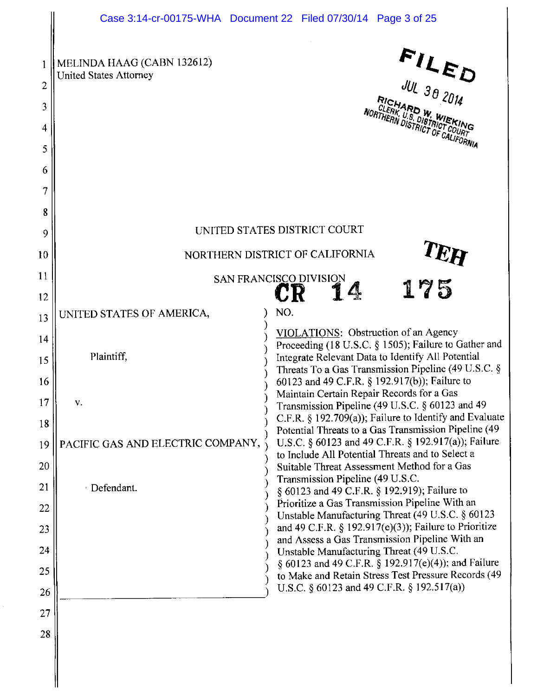|                  | Case 3:14-cr-00175-WHA  Document 22  Filed 07/30/14  Page 3 of 25                                                                                                         |
|------------------|---------------------------------------------------------------------------------------------------------------------------------------------------------------------------|
| 2<br>3<br>4<br>5 | $FLEUJUL 30 2014$<br>MELINDA HAAG (CABN 132612)<br><b>United States Attorney</b><br><b>RICHARD W. WIEKING</b><br>CLERK, U.S. DISTRICT COURT<br>NORTHERN DISTRICT OF COURT |
| 6                |                                                                                                                                                                           |
| 7                |                                                                                                                                                                           |
| 8                | UNITED STATES DISTRICT COURT                                                                                                                                              |
| 9<br>10          | NORTHERN DISTRICT OF CALIFORNIA                                                                                                                                           |
| 11               | TEH                                                                                                                                                                       |
| 12               | <b>SAN FRANCISCO DIVISION</b><br>175<br>14<br>CIR                                                                                                                         |
| 13               | NO.<br>UNITED STATES OF AMERICA,                                                                                                                                          |
| 14               | VIOLATIONS: Obstruction of an Agency<br>Proceeding (18 U.S.C. § 1505); Failure to Gather and                                                                              |
| 15               | Plaintiff.<br>Integrate Relevant Data to Identify All Potential<br>Threats To a Gas Transmission Pipeline (49 U.S.C. §                                                    |
| 16               | 60123 and 49 C.F.R. § 192.917(b)); Failure to                                                                                                                             |
| 17               | Maintain Certain Repair Records for a Gas<br>v.<br>Transmission Pipeline (49 U.S.C. § 60123 and 49                                                                        |
| 18               | C.F.R. $\S$ 192.709(a)); Failure to Identify and Evaluate<br>Potential Threats to a Gas Transmission Pipeline (49                                                         |
| 19               | U.S.C. § 60123 and 49 C.F.R. § 192.917(a)); Failure<br>PACIFIC GAS AND ELECTRIC COMPANY,<br>to Include All Potential Threats and to Select a                              |
| 20               | Suitable Threat Assessment Method for a Gas<br>Transmission Pipeline (49 U.S.C.                                                                                           |
| 21               | · Defendant.<br>§ 60123 and 49 C.F.R. § 192.919); Failure to<br>Prioritize a Gas Transmission Pipeline With an                                                            |
| 22<br>23         | Unstable Manufacturing Threat (49 U.S.C. § 60123<br>and 49 C.F.R. § 192.917(e)(3)); Failure to Prioritize                                                                 |
| 24               | and Assess a Gas Transmission Pipeline With an<br>Unstable Manufacturing Threat (49 U.S.C.                                                                                |
| 25               | § 60123 and 49 C.F.R. § 192.917(e)(4)); and Failure<br>to Make and Retain Stress Test Pressure Records (49                                                                |
| 26               | U.S.C. § 60123 and 49 C.F.R. § 192.517(a))                                                                                                                                |
| 27               |                                                                                                                                                                           |
| 28               |                                                                                                                                                                           |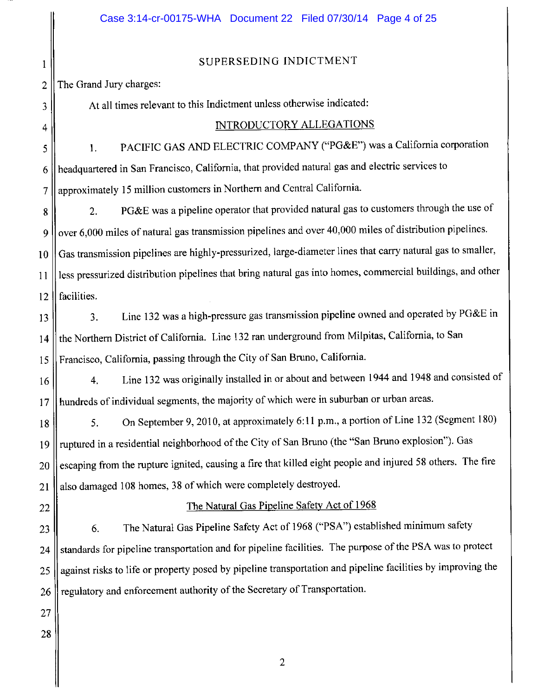#### SUPERSEDING INDICTMENT  $\mathbf{1}$ The Grand Jury charges:  $\overline{2}$ At all times relevant to this Indictment unless otherwise indicated: 3 INTRODUCTORY ALLEGATIONS 4 PACIFIC GAS AND ELECTRIC COMPANY ("PG&E") was a California corporation  $\mathbf{1}$ . 5 headquartered in San Francisco, California, that provided natural gas and electric services to 6 approximately 15 million customers in Northern and Central California.  $\overline{7}$ PG&E was a pipeline operator that provided natural gas to customers through the use of  $2.$ 8 over 6,000 miles of natural gas transmission pipelines and over 40,000 miles of distribution pipelines. 9 Gas transmission pipelines are highly-pressurized, large-diameter lines that carry natural gas to smaller, 10 less pressurized distribution pipelines that bring natural gas into homes, commercial buildings, and other  $11$ facilities.  $12$ Line 132 was a high-pressure gas transmission pipeline owned and operated by PG&E in 3. 13 the Northern District of California. Line 132 ran underground from Milpitas, California, to San 14 Francisco, California, passing through the City of San Bruno, California. 15 Line 132 was originally installed in or about and between 1944 and 1948 and consisted of  $\overline{4}$ . 16 hundreds of individual segments, the majority of which were in suburban or urban areas. 17 On September 9, 2010, at approximately 6:11 p.m., a portion of Line 132 (Segment 180) 5. 18 ruptured in a residential neighborhood of the City of San Bruno (the "San Bruno explosion"). Gas 19 escaping from the rupture ignited, causing a fire that killed eight people and injured 58 others. The fire 20 also damaged 108 homes, 38 of which were completely destroyed. 21 The Natural Gas Pipeline Safety Act of 1968 22 The Natural Gas Pipeline Safety Act of 1968 ("PSA") established minimum safety 6. 23 standards for pipeline transportation and for pipeline facilities. The purpose of the PSA was to protect 24 against risks to life or property posed by pipeline transportation and pipeline facilities by improving the 25 regulatory and enforcement authority of the Secretary of Transportation. 26 27 28

 $\overline{c}$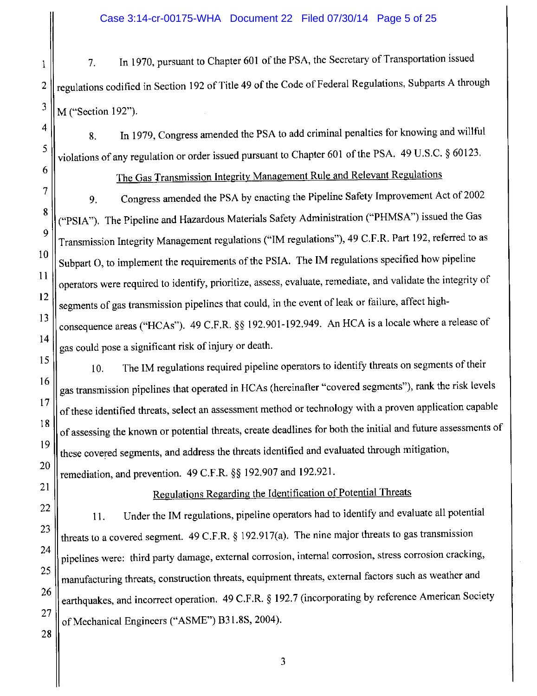#### Case 3:14-cr-00175-WHA Document 22 Filed 07/30/14 Page 5 of 25

In 1970, pursuant to Chapter 601 of the PSA, the Secretary of Transportation issued 7. regulations codified in Section 192 of Title 49 of the Code of Federal Regulations, Subparts A through M ("Section 192").

In 1979, Congress amended the PSA to add criminal penalties for knowing and willful 8. violations of any regulation or order issued pursuant to Chapter 601 of the PSA. 49 U.S.C. § 60123.

The Gas Transmission Integrity Management Rule and Relevant Regulations

Congress amended the PSA by enacting the Pipeline Safety Improvement Act of 2002 9. ("PSIA"). The Pipeline and Hazardous Materials Safety Administration ("PHMSA") issued the Gas Transmission Integrity Management regulations ("IM regulations"), 49 C.F.R. Part 192, referred to as Subpart O, to implement the requirements of the PSIA. The IM regulations specified how pipeline operators were required to identify, prioritize, assess, evaluate, remediate, and validate the integrity of segments of gas transmission pipelines that could, in the event of leak or failure, affect highconsequence areas ("HCAs"). 49 C.F.R. §§ 192.901-192.949. An HCA is a locale where a release of gas could pose a significant risk of injury or death.

The IM regulations required pipeline operators to identify threats on segments of their 10. gas transmission pipelines that operated in HCAs (hereinafter "covered segments"), rank the risk levels of these identified threats, select an assessment method or technology with a proven application capable of assessing the known or potential threats, create deadlines for both the initial and future assessments of these covered segments, and address the threats identified and evaluated through mitigation, remediation, and prevention. 49 C.F.R. §§ 192.907 and 192.921.

Regulations Regarding the Identification of Potential Threats

Under the IM regulations, pipeline operators had to identify and evaluate all potential 11. threats to a covered segment.  $49$  C.F.R. § 192.917(a). The nine major threats to gas transmission pipelines were: third party damage, external corrosion, internal corrosion, stress corrosion cracking, manufacturing threats, construction threats, equipment threats, external factors such as weather and earthquakes, and incorrect operation. 49 C.F.R. § 192.7 (incorporating by reference American Society of Mechanical Engineers ("ASME") B31.8S, 2004).

26 27 28

 $\mathbf{1}$ 

 $\overline{2}$ 

 $\overline{\mathbf{3}}$ 

 $\overline{4}$ 

5

6

 $\overline{7}$ 

8

9

 $10$ 

 $11$ 

 $12$ 

13

 $14$ 

15

16

17

18

19

20

21

22

23

24

25

 $\overline{\mathbf{3}}$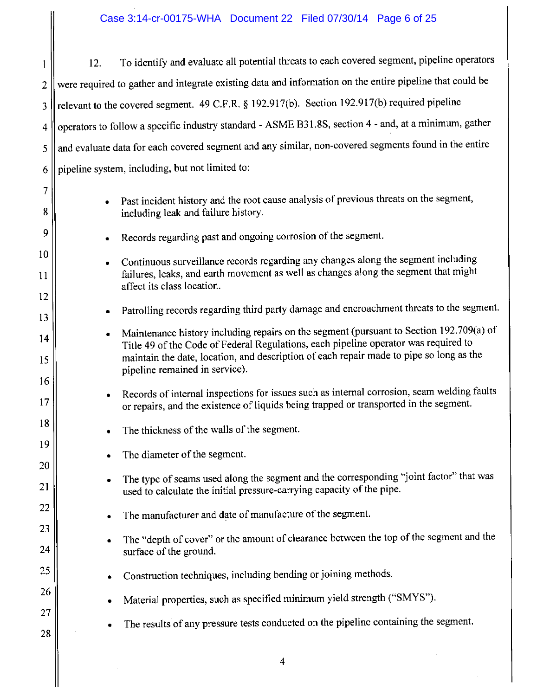#### Case 3:14-cr-00175-WHA Document 22 Filed 07/30/14 Page 6 of 25

To identify and evaluate all potential threats to each covered segment, pipeline operators  $12.$  $\mathbf{1}$ were required to gather and integrate existing data and information on the entire pipeline that could be  $\overline{2}$ relevant to the covered segment. 49 C.F.R. § 192.917(b). Section 192.917(b) required pipeline 3 operators to follow a specific industry standard - ASME B31.8S, section 4 - and, at a minimum, gather  $\overline{4}$ and evaluate data for each covered segment and any similar, non-covered segments found in the entire 5 pipeline system, including, but not limited to: 6

- Past incident history and the root cause analysis of previous threats on the segment, including leak and failure history.
- Records regarding past and ongoing corrosion of the segment.
- Continuous surveillance records regarding any changes along the segment including  $\bullet$ failures, leaks, and earth movement as well as changes along the segment that might affect its class location.
- Patrolling records regarding third party damage and encroachment threats to the segment.  $\bullet$
- Maintenance history including repairs on the segment (pursuant to Section 192.709(a) of Title 49 of the Code of Federal Regulations, each pipeline operator was required to maintain the date, location, and description of each repair made to pipe so long as the pipeline remained in service).
- Records of internal inspections for issues such as internal corrosion, seam welding faults  $\bullet$ or repairs, and the existence of liquids being trapped or transported in the segment.
- The thickness of the walls of the segment.
- The diameter of the segment.  $\bullet$

7

8

9

 $10$ 

11

12

13

14

15

16

17

18

19

20

21

22

23

24

25

26

27

- The type of seams used along the segment and the corresponding "joint factor" that was used to calculate the initial pressure-carrying capacity of the pipe.
- The manufacturer and date of manufacture of the segment.  $\bullet$
- The "depth of cover" or the amount of clearance between the top of the segment and the  $\bullet$ surface of the ground.
- Construction techniques, including bending or joining methods.  $\bullet$
- Material properties, such as specified minimum yield strength ("SMYS").
- The results of any pressure tests conducted on the pipeline containing the segment.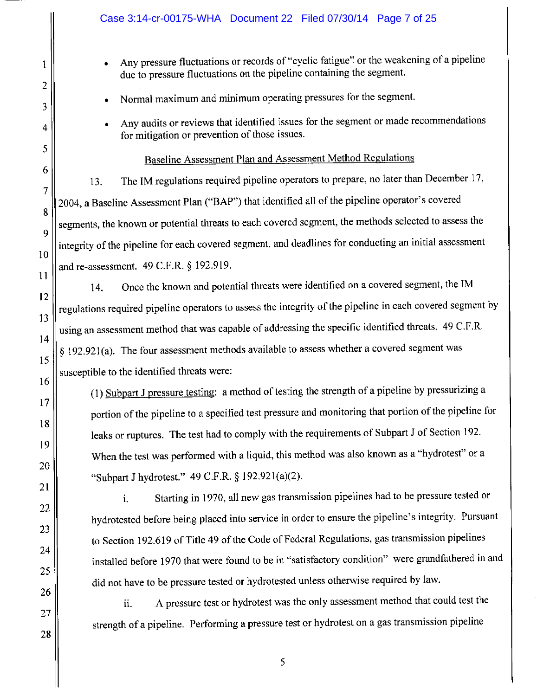|          | Case 3:14-cr-00175-WHA  Document 22  Filed 07/30/14  Page 7 of 25                                                                                               |
|----------|-----------------------------------------------------------------------------------------------------------------------------------------------------------------|
| 1<br>2   | Any pressure fluctuations or records of "cyclic fatigue" or the weakening of a pipeline<br>due to pressure fluctuations on the pipeline containing the segment. |
| 3        | Normal maximum and minimum operating pressures for the segment.                                                                                                 |
| 4        | Any audits or reviews that identified issues for the segment or made recommendations<br>for mitigation or prevention of those issues.                           |
| 5        | Baseline Assessment Plan and Assessment Method Regulations                                                                                                      |
| 6        | The IM regulations required pipeline operators to prepare, no later than December 17,<br>13.                                                                    |
| 7        | 2004, a Baseline Assessment Plan ("BAP") that identified all of the pipeline operator's covered                                                                 |
| 8        | segments, the known or potential threats to each covered segment, the methods selected to assess the                                                            |
| 9        | integrity of the pipeline for each covered segment, and deadlines for conducting an initial assessment                                                          |
| 10       | and re-assessment. 49 C.F.R. § 192.919.                                                                                                                         |
| 11       | Once the known and potential threats were identified on a covered segment, the IM<br>14.                                                                        |
| 12       | regulations required pipeline operators to assess the integrity of the pipeline in each covered segment by                                                      |
| 13       | using an assessment method that was capable of addressing the specific identified threats. 49 C.F.R.                                                            |
| 14       | § 192.921(a). The four assessment methods available to assess whether a covered segment was                                                                     |
| 15       | susceptible to the identified threats were:                                                                                                                     |
| 16       | (1) Subpart J pressure testing: a method of testing the strength of a pipeline by pressurizing a                                                                |
| 17<br>18 | portion of the pipeline to a specified test pressure and monitoring that portion of the pipeline for                                                            |
| 19       | leaks or ruptures. The test had to comply with the requirements of Subpart J of Section 192.                                                                    |
| 20       | When the test was performed with a liquid, this method was also known as a "hydrotest" or a                                                                     |
| 21       | "Subpart J hydrotest." 49 C.F.R. § 192.921(a)(2).                                                                                                               |
| 22       | Starting in 1970, all new gas transmission pipelines had to be pressure tested or<br>$\mathbf{i}$ .                                                             |
| 23       | hydrotested before being placed into service in order to ensure the pipeline's integrity. Pursuant                                                              |
| 24       | to Section 192.619 of Title 49 of the Code of Federal Regulations, gas transmission pipelines                                                                   |
| 25       | installed before 1970 that were found to be in "satisfactory condition" were grandfathered in and                                                               |
| 26       | did not have to be pressure tested or hydrotested unless otherwise required by law.                                                                             |
| 27       | A pressure test or hydrotest was the only assessment method that could test the<br>ii.                                                                          |
| 28       | strength of a pipeline. Performing a pressure test or hydrotest on a gas transmission pipeline                                                                  |
|          | 5                                                                                                                                                               |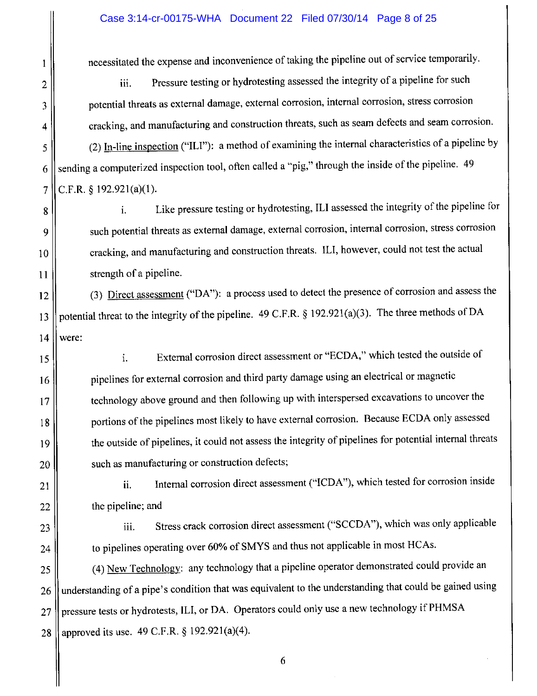#### Case 3:14-cr-00175-WHA Document 22 Filed 07/30/14 Page 8 of 25

necessitated the expense and inconvenience of taking the pipeline out of service temporarily.

Pressure testing or hydrotesting assessed the integrity of a pipeline for such iii. potential threats as external damage, external corrosion, internal corrosion, stress corrosion cracking, and manufacturing and construction threats, such as seam defects and seam corrosion. (2) In-line inspection ("ILI"): a method of examining the internal characteristics of a pipeline by sending a computerized inspection tool, often called a "pig," through the inside of the pipeline. 49 C.F.R. § 192.921(a)(1).

Like pressure testing or hydrotesting, ILI assessed the integrity of the pipeline for i. such potential threats as external damage, external corrosion, internal corrosion, stress corrosion cracking, and manufacturing and construction threats. ILI, however, could not test the actual strength of a pipeline.

(3) Direct assessment ("DA"): a process used to detect the presence of corrosion and assess the 12 potential threat to the integrity of the pipeline. 49 C.F.R. § 192.921(a)(3). The three methods of DA 13  $14$ were:

External corrosion direct assessment or "ECDA," which tested the outside of i. pipelines for external corrosion and third party damage using an electrical or magnetic technology above ground and then following up with interspersed excavations to uncover the portions of the pipelines most likely to have external corrosion. Because ECDA only assessed the outside of pipelines, it could not assess the integrity of pipelines for potential internal threats such as manufacturing or construction defects;

Internal corrosion direct assessment ("ICDA"), which tested for corrosion inside ii. the pipeline; and

23

 $\mathbf{1}$ 

 $\overline{2}$ 

3

4

5

6

 $\overline{7}$ 

8

9

 $10$ 

11

15

16

17

18

19

20

21

22

24

Stress crack corrosion direct assessment ("SCCDA"), which was only applicable iii. to pipelines operating over 60% of SMYS and thus not applicable in most HCAs.

(4) New Technology: any technology that a pipeline operator demonstrated could provide an 25 understanding of a pipe's condition that was equivalent to the understanding that could be gained using 26 pressure tests or hydrotests, ILI, or DA. Operators could only use a new technology if PHMSA 27 approved its use. 49 C.F.R. § 192.921(a)(4). 28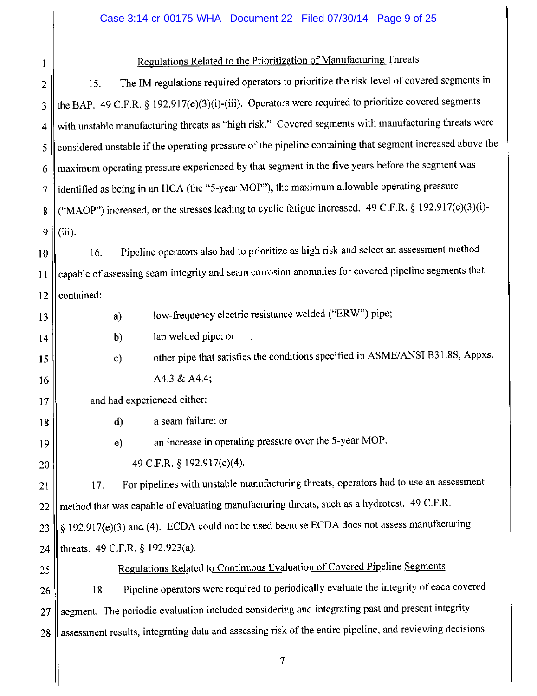### Case 3:14-cr-00175-WHA Document 22 Filed 07/30/14 Page 9 of 25

| 1  | Regulations Related to the Prioritization of Manufacturing Threats                                        |
|----|-----------------------------------------------------------------------------------------------------------|
| 2  | The IM regulations required operators to prioritize the risk level of covered segments in<br>15.          |
| 3  | the BAP. 49 C.F.R. § 192.917(e)(3)(i)-(iii). Operators were required to prioritize covered segments       |
| 4  | with unstable manufacturing threats as "high risk." Covered segments with manufacturing threats were      |
| 5  | considered unstable if the operating pressure of the pipeline containing that segment increased above the |
| 6  | maximum operating pressure experienced by that segment in the five years before the segment was           |
| 7  | identified as being in an HCA (the "5-year MOP"), the maximum allowable operating pressure                |
| 8  | ("MAOP") increased, or the stresses leading to cyclic fatigue increased. 49 C.F.R. § 192.917(e)(3)(i)-    |
| 9  | (iii).                                                                                                    |
| 10 | Pipeline operators also had to prioritize as high risk and select an assessment method<br>16.             |
| 11 | capable of assessing seam integrity and seam corrosion anomalies for covered pipeline segments that       |
| 12 | contained:                                                                                                |
| 13 | low-frequency electric resistance welded ("ERW") pipe;<br>a)                                              |
| 14 | lap welded pipe; or<br>b)                                                                                 |
| 15 | other pipe that satisfies the conditions specified in ASME/ANSI B31.8S, Appxs.<br>$\mathbf{c}$            |
| 16 | A4.3 & A4.4;                                                                                              |
| 17 | and had experienced either:                                                                               |
| 18 | a seam failure; or<br>$\mathbf{d}$                                                                        |
| 19 | an increase in operating pressure over the 5-year MOP.<br>e)                                              |
| 20 | 49 C.F.R. § 192.917(e)(4).                                                                                |
| 21 | For pipelines with unstable manufacturing threats, operators had to use an assessment<br>17.              |
| 22 | method that was capable of evaluating manufacturing threats, such as a hydrotest. 49 C.F.R.               |
| 23 | $\S$ 192.917(e)(3) and (4). ECDA could not be used because ECDA does not assess manufacturing             |
| 24 | threats. 49 C.F.R. § 192.923(a).                                                                          |
| 25 | Regulations Related to Continuous Evaluation of Covered Pipeline Segments                                 |
| 26 | Pipeline operators were required to periodically evaluate the integrity of each covered<br>18.            |
| 27 | segment. The periodic evaluation included considering and integrating past and present integrity          |
| 28 | assessment results, integrating data and assessing risk of the entire pipeline, and reviewing decisions   |
|    |                                                                                                           |

╢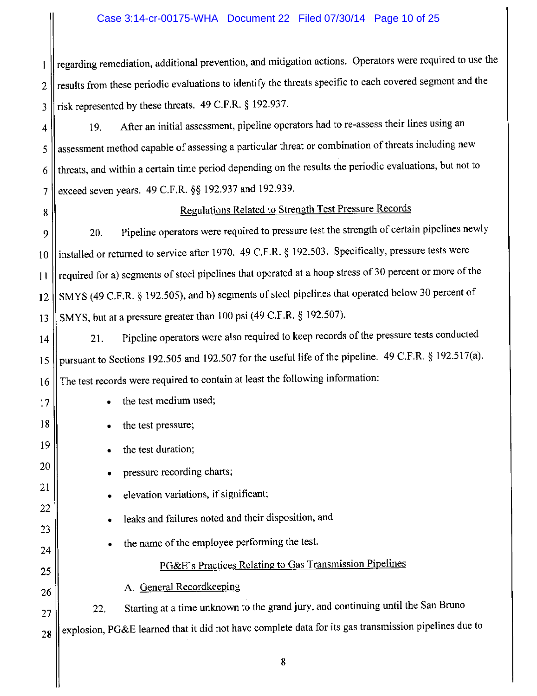#### Case 3:14-cr-00175-WHA Document 22 Filed 07/30/14 Page 10 of 25

regarding remediation, additional prevention, and mitigation actions. Operators were required to use the  $\mathbf{1}$ results from these periodic evaluations to identify the threats specific to each covered segment and the  $\overline{2}$ risk represented by these threats. 49 C.F.R. § 192.937.  $\overline{3}$ 

After an initial assessment, pipeline operators had to re-assess their lines using an 19.  $\overline{4}$ assessment method capable of assessing a particular threat or combination of threats including new 5 threats, and within a certain time period depending on the results the periodic evaluations, but not to 6 exceed seven years. 49 C.F.R. §§ 192.937 and 192.939. 7

#### 8

17

18

19

20

21

22

23

24

25

26

27

28

### Regulations Related to Strength Test Pressure Records

Pipeline operators were required to pressure test the strength of certain pipelines newly 20. 9 installed or returned to service after 1970. 49 C.F.R. § 192.503. Specifically, pressure tests were  $10$ required for a) segments of steel pipelines that operated at a hoop stress of 30 percent or more of the 11 SMYS (49 C.F.R. § 192.505), and b) segments of steel pipelines that operated below 30 percent of  $12$ SMYS, but at a pressure greater than 100 psi (49 C.F.R. § 192.507). 13

Pipeline operators were also required to keep records of the pressure tests conducted 21.  $14$ pursuant to Sections 192.505 and 192.507 for the useful life of the pipeline. 49 C.F.R. § 192.517(a). 15 The test records were required to contain at least the following information: 16

- the test medium used;
- the test pressure;
- the test duration;
- pressure recording charts;
- elevation variations, if significant;
- leaks and failures noted and their disposition, and
- the name of the employee performing the test.

### PG&E's Practices Relating to Gas Transmission Pipelines

A. General Recordkeeping

Starting at a time unknown to the grand jury, and continuing until the San Bruno  $22.$ explosion, PG&E learned that it did not have complete data for its gas transmission pipelines due to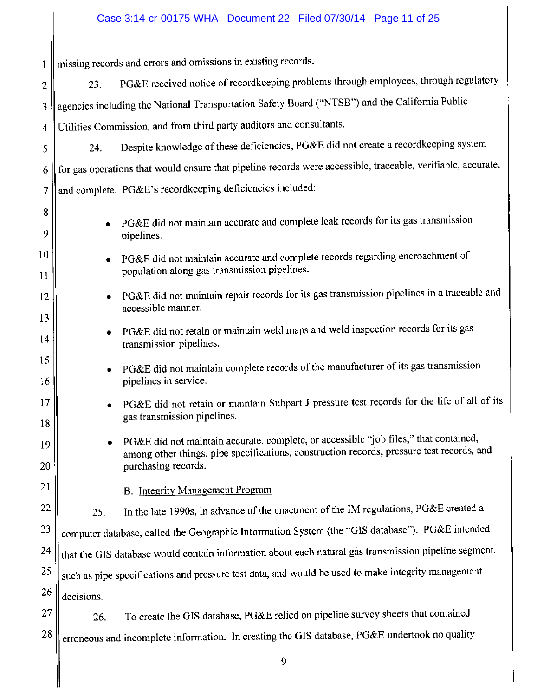## Case 3:14-cr-00175-WHA Document 22 Filed 07/30/14 Page 11 of 25

| $\mathbf{1}$ |            | missing records and errors and omissions in existing records.                                                                                                                                            |
|--------------|------------|----------------------------------------------------------------------------------------------------------------------------------------------------------------------------------------------------------|
| 2            | 23.        | PG&E received notice of recordkeeping problems through employees, through regulatory                                                                                                                     |
| 3            |            | agencies including the National Transportation Safety Board ("NTSB") and the California Public                                                                                                           |
| 4            |            | Utilities Commission, and from third party auditors and consultants.                                                                                                                                     |
| 5            | 24.        | Despite knowledge of these deficiencies, PG&E did not create a recordkeeping system                                                                                                                      |
| 6            |            | for gas operations that would ensure that pipeline records were accessible, traceable, verifiable, accurate,                                                                                             |
| 7            |            | and complete. PG&E's recordkeeping deficiencies included:                                                                                                                                                |
| 8<br>9       |            | PG&E did not maintain accurate and complete leak records for its gas transmission<br>pipelines.                                                                                                          |
| 10<br>11     | ۰          | PG&E did not maintain accurate and complete records regarding encroachment of<br>population along gas transmission pipelines.                                                                            |
| 12<br>13     |            | PG&E did not maintain repair records for its gas transmission pipelines in a traceable and<br>accessible manner.                                                                                         |
| 14           |            | PG&E did not retain or maintain weld maps and weld inspection records for its gas<br>transmission pipelines.                                                                                             |
| 15<br>16     |            | PG&E did not maintain complete records of the manufacturer of its gas transmission<br>pipelines in service.                                                                                              |
| 17<br>18     |            | PG&E did not retain or maintain Subpart J pressure test records for the life of all of its<br>gas transmission pipelines.                                                                                |
| 19<br>20     |            | PG&E did not maintain accurate, complete, or accessible "job files," that contained,<br>among other things, pipe specifications, construction records, pressure test records, and<br>purchasing records. |
| 21           |            | <b>B.</b> Integrity Management Program                                                                                                                                                                   |
| 22           | 25.        | In the late 1990s, in advance of the enactment of the IM regulations, PG&E created a                                                                                                                     |
| 23           |            | computer database, called the Geographic Information System (the "GIS database"). PG&E intended                                                                                                          |
| 24           |            | that the GIS database would contain information about each natural gas transmission pipeline segment,                                                                                                    |
| 25           |            | such as pipe specifications and pressure test data, and would be used to make integrity management                                                                                                       |
| 26           | decisions. |                                                                                                                                                                                                          |
| 27           | 26.        | To create the GIS database, PG&E relied on pipeline survey sheets that contained                                                                                                                         |
| 28           |            | erroneous and incomplete information. In creating the GIS database, PG&E undertook no quality                                                                                                            |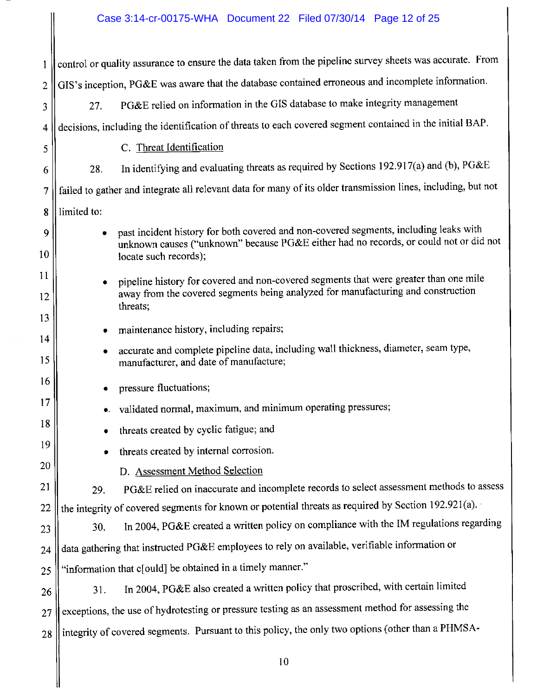### Case 3:14-cr-00175-WHA Document 22 Filed 07/30/14 Page 12 of 25

 $\parallel$ 

 $\parallel$ 

| 1        |             | control or quality assurance to ensure the data taken from the pipeline survey sheets was accurate. From                                                                                                |
|----------|-------------|---------------------------------------------------------------------------------------------------------------------------------------------------------------------------------------------------------|
| 2        |             | GIS's inception, PG&E was aware that the database contained erroneous and incomplete information.                                                                                                       |
| 3        | 27.         | PG&E relied on information in the GIS database to make integrity management                                                                                                                             |
| 4        |             | decisions, including the identification of threats to each covered segment contained in the initial BAP.                                                                                                |
| 5        |             | C. Threat Identification                                                                                                                                                                                |
| 6        | 28.         | In identifying and evaluating threats as required by Sections 192.917(a) and (b), PG&E                                                                                                                  |
| 7        |             | failed to gather and integrate all relevant data for many of its older transmission lines, including, but not                                                                                           |
| 8        | limited to: |                                                                                                                                                                                                         |
| 9<br>10  |             | past incident history for both covered and non-covered segments, including leaks with<br>unknown causes ("unknown" because PG&E either had no records, or could not or did not<br>locate such records); |
| 11<br>12 | ۰           | pipeline history for covered and non-covered segments that were greater than one mile<br>away from the covered segments being analyzed for manufacturing and construction<br>threats;                   |
| 13       | ٠           | maintenance history, including repairs;                                                                                                                                                                 |
| 14<br>15 | ٠           | accurate and complete pipeline data, including wall thickness, diameter, seam type,<br>manufacturer, and date of manufacture;                                                                           |
| 16       |             | pressure fluctuations;                                                                                                                                                                                  |
| 17       |             | validated normal, maximum, and minimum operating pressures;                                                                                                                                             |
| 18       |             | threats created by cyclic fatigue; and                                                                                                                                                                  |
| 19       |             | threats created by internal corrosion.                                                                                                                                                                  |
| 20       |             | D. Assessment Method Selection                                                                                                                                                                          |
| 21       | 29.         | PG&E relied on inaccurate and incomplete records to select assessment methods to assess                                                                                                                 |
| 22       |             | the integrity of covered segments for known or potential threats as required by Section 192.921(a).                                                                                                     |
| 23       | 30.         | In 2004, PG&E created a written policy on compliance with the IM regulations regarding                                                                                                                  |
| 24       |             | data gathering that instructed PG&E employees to rely on available, verifiable information or                                                                                                           |
| 25       |             | "information that c[ould] be obtained in a timely manner."                                                                                                                                              |
| 26       | 31.         | In 2004, PG&E also created a written policy that proscribed, with certain limited                                                                                                                       |
| 27       |             | exceptions, the use of hydrotesting or pressure testing as an assessment method for assessing the                                                                                                       |
| 28       |             | integrity of covered segments. Pursuant to this policy, the only two options (other than a PHMSA-                                                                                                       |
|          |             | 10                                                                                                                                                                                                      |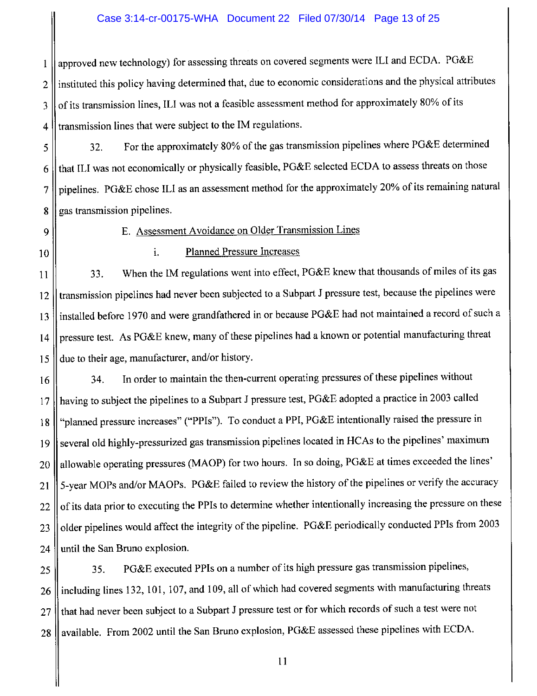#### Case 3:14-cr-00175-WHA Document 22 Filed 07/30/14 Page 13 of 25

approved new technology) for assessing threats on covered segments were ILI and ECDA. PG&E  $\mathbf{1}$ instituted this policy having determined that, due to economic considerations and the physical attributes  $\overline{2}$ of its transmission lines, ILI was not a feasible assessment method for approximately 80% of its 3 transmission lines that were subject to the IM regulations.  $\overline{4}$ 

For the approximately 80% of the gas transmission pipelines where PG&E determined 32. 5 that ILI was not economically or physically feasible, PG&E selected ECDA to assess threats on those 6 pipelines. PG&E chose ILI as an assessment method for the approximately 20% of its remaining natural  $\overline{7}$ gas transmission pipelines. 8

9

E. Assessment Avoidance on Older Transmission Lines

10

#### i. **Planned Pressure Increases**

When the IM regulations went into effect, PG&E knew that thousands of miles of its gas 33. 11 transmission pipelines had never been subjected to a Subpart J pressure test, because the pipelines were 12 installed before 1970 and were grandfathered in or because PG&E had not maintained a record of such a 13 pressure test. As PG&E knew, many of these pipelines had a known or potential manufacturing threat  $14$ due to their age, manufacturer, and/or history. 15

In order to maintain the then-current operating pressures of these pipelines without 34. 16 having to subject the pipelines to a Subpart J pressure test, PG&E adopted a practice in 2003 called  $17$ "planned pressure increases" ("PPIs"). To conduct a PPI, PG&E intentionally raised the pressure in  $18$ several old highly-pressurized gas transmission pipelines located in HCAs to the pipelines' maximum 19 allowable operating pressures (MAOP) for two hours. In so doing, PG&E at times exceeded the lines' 20 5-year MOPs and/or MAOPs. PG&E failed to review the history of the pipelines or verify the accuracy 21 of its data prior to executing the PPIs to determine whether intentionally increasing the pressure on these  $22$ older pipelines would affect the integrity of the pipeline. PG&E periodically conducted PPIs from 2003 23 until the San Bruno explosion. 24

PG&E executed PPIs on a number of its high pressure gas transmission pipelines, 35. 25 including lines 132, 101, 107, and 109, all of which had covered segments with manufacturing threats 26 that had never been subject to a Subpart J pressure test or for which records of such a test were not 27 available. From 2002 until the San Bruno explosion, PG&E assessed these pipelines with ECDA. 28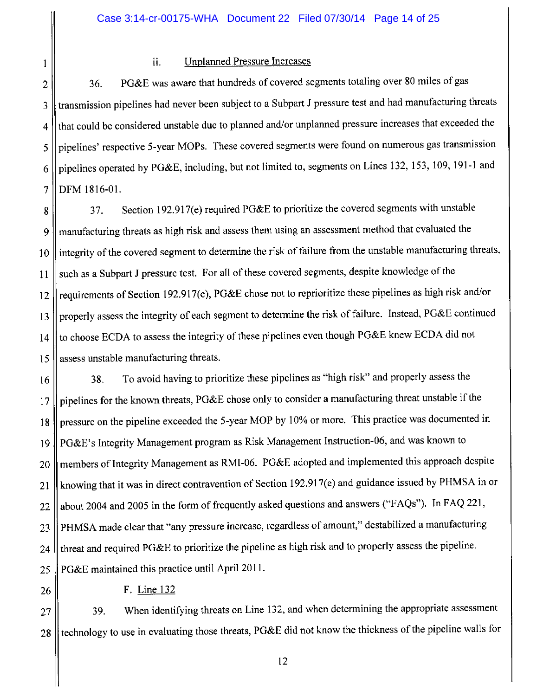$\mathbf{1}$ 

#### **Unplanned Pressure Increases** ii.

PG&E was aware that hundreds of covered segments totaling over 80 miles of gas 36.  $\overline{2}$ transmission pipelines had never been subject to a Subpart J pressure test and had manufacturing threats 3 that could be considered unstable due to planned and/or unplanned pressure increases that exceeded the 4 pipelines' respective 5-year MOPs. These covered segments were found on numerous gas transmission 5 pipelines operated by PG&E, including, but not limited to, segments on Lines 132, 153, 109, 191-1 and 6 DFM 1816-01.  $\overline{7}$ 

Section 192.917(e) required PG&E to prioritize the covered segments with unstable 37. 8 manufacturing threats as high risk and assess them using an assessment method that evaluated the 9 integrity of the covered segment to determine the risk of failure from the unstable manufacturing threats,  $10$ such as a Subpart J pressure test. For all of these covered segments, despite knowledge of the 11 requirements of Section 192.917(e), PG&E chose not to reprioritize these pipelines as high risk and/or 12 properly assess the integrity of each segment to determine the risk of failure. Instead, PG&E continued 13 to choose ECDA to assess the integrity of these pipelines even though PG&E knew ECDA did not  $14$ assess unstable manufacturing threats. 15

To avoid having to prioritize these pipelines as "high risk" and properly assess the 38. 16 pipelines for the known threats, PG&E chose only to consider a manufacturing threat unstable if the 17 pressure on the pipeline exceeded the 5-year MOP by 10% or more. This practice was documented in 18 PG&E's Integrity Management program as Risk Management Instruction-06, and was known to 19 members of Integrity Management as RMI-06. PG&E adopted and implemented this approach despite 20 knowing that it was in direct contravention of Section 192.917(e) and guidance issued by PHMSA in or 21 about 2004 and 2005 in the form of frequently asked questions and answers ("FAQs"). In FAQ 221, 22 PHMSA made clear that "any pressure increase, regardless of amount," destabilized a manufacturing 23 threat and required PG&E to prioritize the pipeline as high risk and to properly assess the pipeline. 24 PG&E maintained this practice until April 2011. 25

26

F. Line 132

When identifying threats on Line 132, and when determining the appropriate assessment 39. 27 technology to use in evaluating those threats, PG&E did not know the thickness of the pipeline walls for 28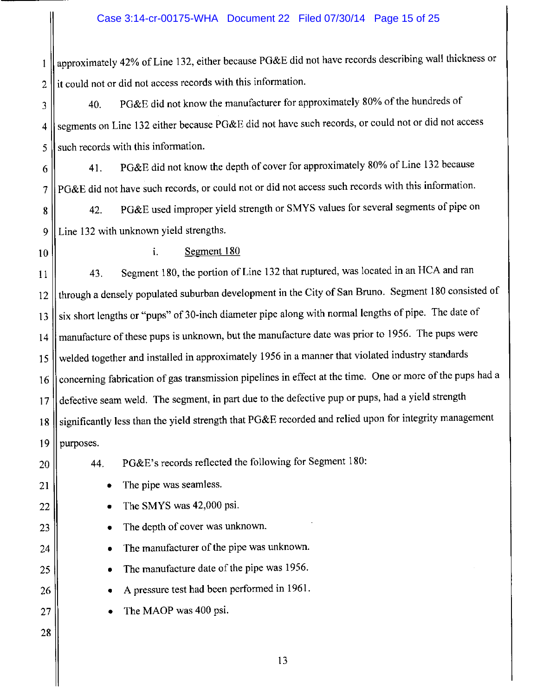approximately 42% of Line 132, either because PG&E did not have records describing wall thickness or  $\mathbf{1}$ it could not or did not access records with this information.  $\overline{2}$ 

PG&E did not know the manufacturer for approximately 80% of the hundreds of 40. 3 segments on Line 132 either because PG&E did not have such records, or could not or did not access  $\overline{4}$ such records with this information. 5

PG&E did not know the depth of cover for approximately 80% of Line 132 because 41. 6 PG&E did not have such records, or could not or did not access such records with this information. 7

PG&E used improper yield strength or SMYS values for several segments of pipe on 42. 8 Line 132 with unknown yield strengths. 9

10

#### i. Segment 180

Segment 180, the portion of Line 132 that ruptured, was located in an HCA and ran 43. 11 through a densely populated suburban development in the City of San Bruno. Segment 180 consisted of  $12$ six short lengths or "pups" of 30-inch diameter pipe along with normal lengths of pipe. The date of 13 manufacture of these pups is unknown, but the manufacture date was prior to 1956. The pups were 14 welded together and installed in approximately 1956 in a manner that violated industry standards 15 concerning fabrication of gas transmission pipelines in effect at the time. One or more of the pups had a 16 defective seam weld. The segment, in part due to the defective pup or pups, had a yield strength  $17$ significantly less than the yield strength that PG&E recorded and relied upon for integrity management 18 19 purposes.

PG&E's records reflected the following for Segment 180:

20

21

22

23

24

25

26

27

28

44.

The pipe was seamless.  $\bullet$ 

- The SMYS was 42,000 psi.  $\bullet$
- The depth of cover was unknown.  $\bullet$
- The manufacturer of the pipe was unknown.  $\bullet$
- The manufacture date of the pipe was 1956.
- A pressure test had been performed in 1961.
- The MAOP was 400 psi.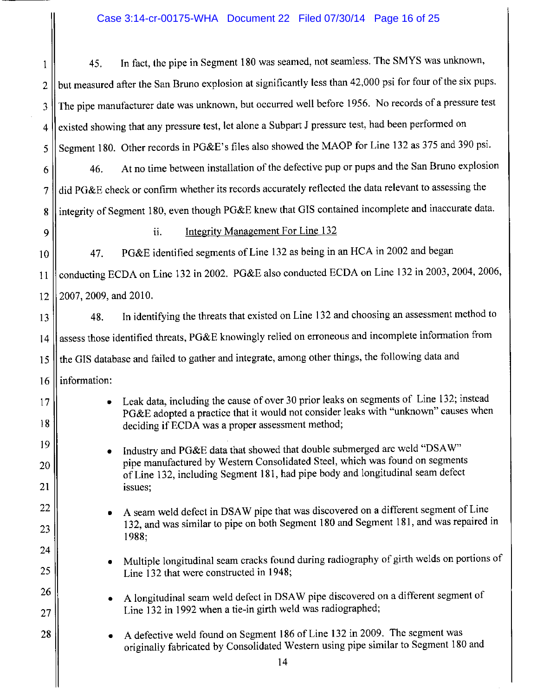## Case 3:14-cr-00175-WHA Document 22 Filed 07/30/14 Page 16 of 25

|                | Case 3:14-cr-00175-WHA  Document 22  Filed 07/30/14  Page 16 of 25                                                                                                            |
|----------------|-------------------------------------------------------------------------------------------------------------------------------------------------------------------------------|
| 1              | In fact, the pipe in Segment 180 was seamed, not seamless. The SMYS was unknown,<br>45.                                                                                       |
| 2              | but measured after the San Bruno explosion at significantly less than 42,000 psi for four of the six pups.                                                                    |
| 3              | The pipe manufacturer date was unknown, but occurred well before 1956. No records of a pressure test                                                                          |
| 4              | existed showing that any pressure test, let alone a Subpart J pressure test, had been performed on                                                                            |
| 5              | Segment 180. Other records in PG&E's files also showed the MAOP for Line 132 as 375 and 390 psi.                                                                              |
| 6              | At no time between installation of the defective pup or pups and the San Bruno explosion<br>46.                                                                               |
| $\overline{7}$ | did PG&E check or confirm whether its records accurately reflected the data relevant to assessing the                                                                         |
| 8              | integrity of Segment 180, even though PG&E knew that GIS contained incomplete and inaccurate data.                                                                            |
| 9              | <b>Integrity Management For Line 132</b><br>ii.                                                                                                                               |
| 10             | PG&E identified segments of Line 132 as being in an HCA in 2002 and began<br>47.                                                                                              |
| 11             | conducting ECDA on Line 132 in 2002. PG&E also conducted ECDA on Line 132 in 2003, 2004, 2006,                                                                                |
| 12             | 2007, 2009, and 2010.                                                                                                                                                         |
| 13             | In identifying the threats that existed on Line 132 and choosing an assessment method to<br>48.                                                                               |
| 14             | assess those identified threats, PG&E knowingly relied on erroneous and incomplete information from                                                                           |
| 15             | the GIS database and failed to gather and integrate, among other things, the following data and                                                                               |
| 16             | information:                                                                                                                                                                  |
| 17             | Leak data, including the cause of over 30 prior leaks on segments of Line 132; instead<br>PG&E adopted a practice that it would not consider leaks with "unknown" causes when |
| 18             | deciding if ECDA was a proper assessment method;                                                                                                                              |
| 19             | Industry and PG&E data that showed that double submerged arc weld "DSAW"                                                                                                      |
| 20             | pipe manufactured by Western Consolidated Steel, which was found on segments<br>of Line 132, including Segment 181, had pipe body and longitudinal seam defect                |
| 21             | issues;                                                                                                                                                                       |
| 22             | A seam weld defect in DSAW pipe that was discovered on a different segment of Line<br>٠                                                                                       |
| 23             | 132, and was similar to pipe on both Segment 180 and Segment 181, and was repaired in<br>1988;                                                                                |
| 24             | Multiple longitudinal seam cracks found during radiography of girth welds on portions of                                                                                      |
| 25             | Line 132 that were constructed in 1948;                                                                                                                                       |
| 26             | A longitudinal seam weld defect in DSAW pipe discovered on a different segment of                                                                                             |
| 27             | Line 132 in 1992 when a tie-in girth weld was radiographed;                                                                                                                   |
| 28             | A defective weld found on Segment 186 of Line 132 in 2009. The segment was<br>originally fabricated by Consolidated Western using pipe similar to Segment 180 and             |
|                | 14                                                                                                                                                                            |
|                |                                                                                                                                                                               |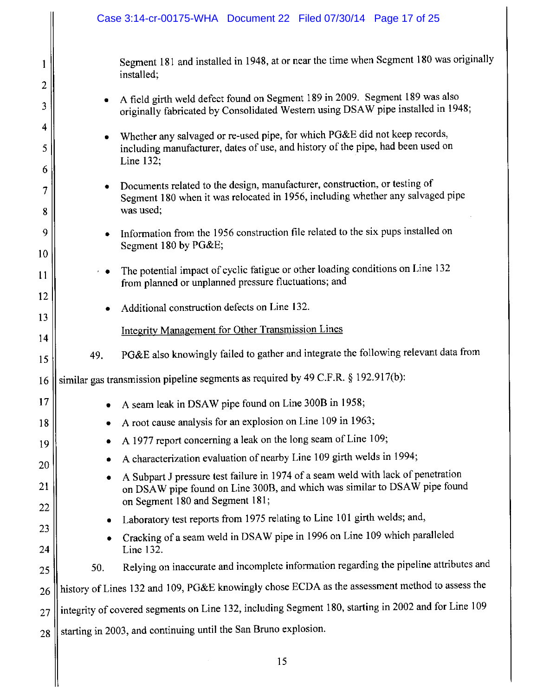|                                 |     | Case 3:14-cr-00175-WHA  Document 22  Filed 07/30/14  Page 17 of 25                                                                                                                                                                                                                                                                                                                                                                                                                                                                                                                                                     |
|---------------------------------|-----|------------------------------------------------------------------------------------------------------------------------------------------------------------------------------------------------------------------------------------------------------------------------------------------------------------------------------------------------------------------------------------------------------------------------------------------------------------------------------------------------------------------------------------------------------------------------------------------------------------------------|
| 1<br>2<br>3<br>4<br>5<br>6<br>7 |     | Segment 181 and installed in 1948, at or near the time when Segment 180 was originally<br>installed;<br>A field girth weld defect found on Segment 189 in 2009. Segment 189 was also<br>originally fabricated by Consolidated Western using DSAW pipe installed in 1948;<br>Whether any salvaged or re-used pipe, for which PG&E did not keep records,<br>including manufacturer, dates of use, and history of the pipe, had been used on<br>Line 132;<br>Documents related to the design, manufacturer, construction, or testing of<br>Segment 180 when it was relocated in 1956, including whether any salvaged pipe |
| 8<br>9                          |     | was used;<br>Information from the 1956 construction file related to the six pups installed on<br>Segment 180 by PG&E                                                                                                                                                                                                                                                                                                                                                                                                                                                                                                   |
| 10<br>11                        |     | The potential impact of cyclic fatigue or other loading conditions on Line 132<br>from planned or unplanned pressure fluctuations; and                                                                                                                                                                                                                                                                                                                                                                                                                                                                                 |
| 12<br>13                        |     | Additional construction defects on Line 132.                                                                                                                                                                                                                                                                                                                                                                                                                                                                                                                                                                           |
| 14<br>15                        | 49. | <b>Integrity Management for Other Transmission Lines</b><br>PG&E also knowingly failed to gather and integrate the following relevant data from                                                                                                                                                                                                                                                                                                                                                                                                                                                                        |
| 16                              |     | similar gas transmission pipeline segments as required by 49 C.F.R. § 192.917(b):                                                                                                                                                                                                                                                                                                                                                                                                                                                                                                                                      |
| 17                              | ٠   | A seam leak in DSAW pipe found on Line 300B in 1958;                                                                                                                                                                                                                                                                                                                                                                                                                                                                                                                                                                   |
| 18                              |     | A root cause analysis for an explosion on Line 109 in 1963;                                                                                                                                                                                                                                                                                                                                                                                                                                                                                                                                                            |
| 19                              | ۰   | A 1977 report concerning a leak on the long seam of Line 109;                                                                                                                                                                                                                                                                                                                                                                                                                                                                                                                                                          |
| 20                              |     | A characterization evaluation of nearby Line 109 girth welds in 1994;                                                                                                                                                                                                                                                                                                                                                                                                                                                                                                                                                  |
| 21                              | ٠   | A Subpart J pressure test failure in 1974 of a seam weld with lack of penetration<br>on DSAW pipe found on Line 300B, and which was similar to DSAW pipe found<br>on Segment 180 and Segment 181;                                                                                                                                                                                                                                                                                                                                                                                                                      |
| 22                              | ۰   | Laboratory test reports from 1975 relating to Line 101 girth welds; and,                                                                                                                                                                                                                                                                                                                                                                                                                                                                                                                                               |
| 23<br>24                        |     | Cracking of a seam weld in DSAW pipe in 1996 on Line 109 which paralleled<br>Line 132.                                                                                                                                                                                                                                                                                                                                                                                                                                                                                                                                 |
| 25                              | 50. | Relying on inaccurate and incomplete information regarding the pipeline attributes and                                                                                                                                                                                                                                                                                                                                                                                                                                                                                                                                 |
| 26                              |     | history of Lines 132 and 109, PG&E knowingly chose ECDA as the assessment method to assess the                                                                                                                                                                                                                                                                                                                                                                                                                                                                                                                         |
| 27                              |     | integrity of covered segments on Line 132, including Segment 180, starting in 2002 and for Line 109                                                                                                                                                                                                                                                                                                                                                                                                                                                                                                                    |
| 28                              |     | starting in 2003, and continuing until the San Bruno explosion.                                                                                                                                                                                                                                                                                                                                                                                                                                                                                                                                                        |
|                                 |     | 1 <sup>2</sup>                                                                                                                                                                                                                                                                                                                                                                                                                                                                                                                                                                                                         |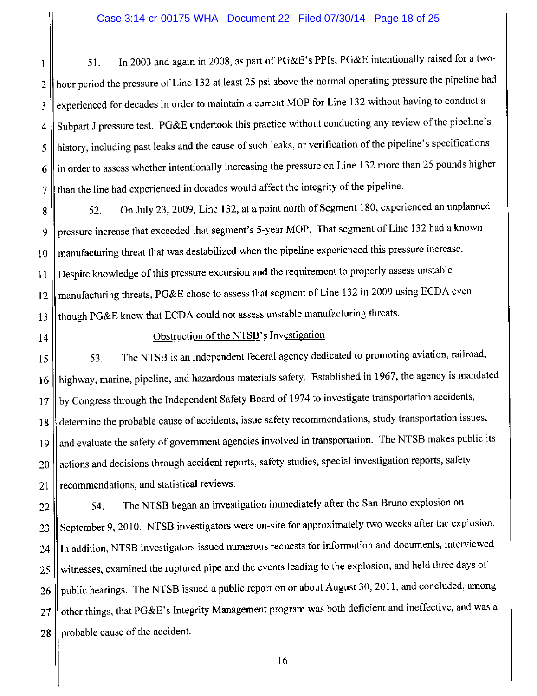In 2003 and again in 2008, as part of PG&E's PPIs, PG&E intentionally raised for a two-51.  $\mathbf{1}$ hour period the pressure of Line 132 at least 25 psi above the normal operating pressure the pipeline had  $\overline{2}$ experienced for decades in order to maintain a current MOP for Line 132 without having to conduct a 3 Subpart J pressure test. PG&E undertook this practice without conducting any review of the pipeline's  $\overline{4}$ history, including past leaks and the cause of such leaks, or verification of the pipeline's specifications 5 in order to assess whether intentionally increasing the pressure on Line 132 more than 25 pounds higher 6 than the line had experienced in decades would affect the integrity of the pipeline.  $\overline{7}$ 

On July 23, 2009, Line 132, at a point north of Segment 180, experienced an unplanned 52. 8 pressure increase that exceeded that segment's 5-year MOP. That segment of Line 132 had a known 9 manufacturing threat that was destabilized when the pipeline experienced this pressure increase. 10 Despite knowledge of this pressure excursion and the requirement to properly assess unstable  $11$ manufacturing threats, PG&E chose to assess that segment of Line 132 in 2009 using ECDA even 12 though PG&E knew that ECDA could not assess unstable manufacturing threats. 13

 $14$ 

#### Obstruction of the NTSB's Investigation

The NTSB is an independent federal agency dedicated to promoting aviation, railroad, 53. 15 highway, marine, pipeline, and hazardous materials safety. Established in 1967, the agency is mandated 16 by Congress through the Independent Safety Board of 1974 to investigate transportation accidents, 17 determine the probable cause of accidents, issue safety recommendations, study transportation issues, 18 and evaluate the safety of government agencies involved in transportation. The NTSB makes public its 19 actions and decisions through accident reports, safety studies, special investigation reports, safety 20 recommendations, and statistical reviews. 21

The NTSB began an investigation immediately after the San Bruno explosion on 54. 22 September 9, 2010. NTSB investigators were on-site for approximately two weeks after the explosion. 23 In addition, NTSB investigators issued numerous requests for information and documents, interviewed 24 witnesses, examined the ruptured pipe and the events leading to the explosion, and held three days of 25 public hearings. The NTSB issued a public report on or about August 30, 2011, and concluded, among 26 other things, that PG&E's Integrity Management program was both deficient and ineffective, and was a 27 probable cause of the accident. 28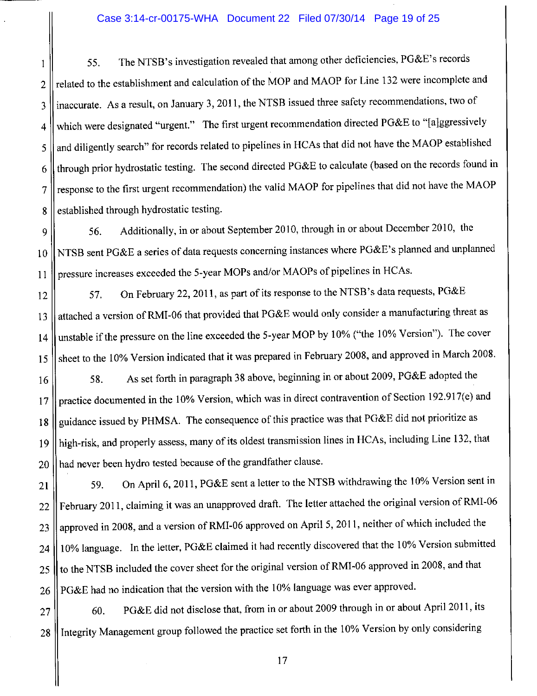#### Case 3:14-cr-00175-WHA Document 22 Filed 07/30/14 Page 19 of 25

The NTSB's investigation revealed that among other deficiencies, PG&E's records 55. 1 related to the establishment and calculation of the MOP and MAOP for Line 132 were incomplete and  $\overline{2}$ inaccurate. As a result, on January 3, 2011, the NTSB issued three safety recommendations, two of 3 which were designated "urgent." The first urgent recommendation directed PG&E to "[a]ggressively  $\overline{4}$ and diligently search" for records related to pipelines in HCAs that did not have the MAOP established 5 through prior hydrostatic testing. The second directed PG&E to calculate (based on the records found in 6 response to the first urgent recommendation) the valid MAOP for pipelines that did not have the MAOP  $\overline{7}$ established through hydrostatic testing. 8

Additionally, in or about September 2010, through in or about December 2010, the 9 56. NTSB sent PG&E a series of data requests concerning instances where PG&E's planned and unplanned  $10$ pressure increases exceeded the 5-year MOPs and/or MAOPs of pipelines in HCAs.  $11$ 

On February 22, 2011, as part of its response to the NTSB's data requests, PG&E 57. 12 attached a version of RMI-06 that provided that PG&E would only consider a manufacturing threat as 13 unstable if the pressure on the line exceeded the 5-year MOP by 10% ("the 10% Version"). The cover  $14$ sheet to the 10% Version indicated that it was prepared in February 2008, and approved in March 2008. 15

As set forth in paragraph 38 above, beginning in or about 2009, PG&E adopted the 58. 16 practice documented in the 10% Version, which was in direct contravention of Section 192.917(e) and  $17$ guidance issued by PHMSA. The consequence of this practice was that PG&E did not prioritize as  $18$ high-risk, and properly assess, many of its oldest transmission lines in HCAs, including Line 132, that 19 had never been hydro tested because of the grandfather clause. 20

On April 6, 2011, PG&E sent a letter to the NTSB withdrawing the 10% Version sent in 59. 21 February 2011, claiming it was an unapproved draft. The letter attached the original version of RMI-06 22 approved in 2008, and a version of RMI-06 approved on April 5, 2011, neither of which included the 23 10% language. In the letter, PG&E claimed it had recently discovered that the 10% Version submitted 24 to the NTSB included the cover sheet for the original version of RMI-06 approved in 2008, and that 25 PG&E had no indication that the version with the 10% language was ever approved. 26

PG&E did not disclose that, from in or about 2009 through in or about April 2011, its 60. 27 Integrity Management group followed the practice set forth in the 10% Version by only considering 28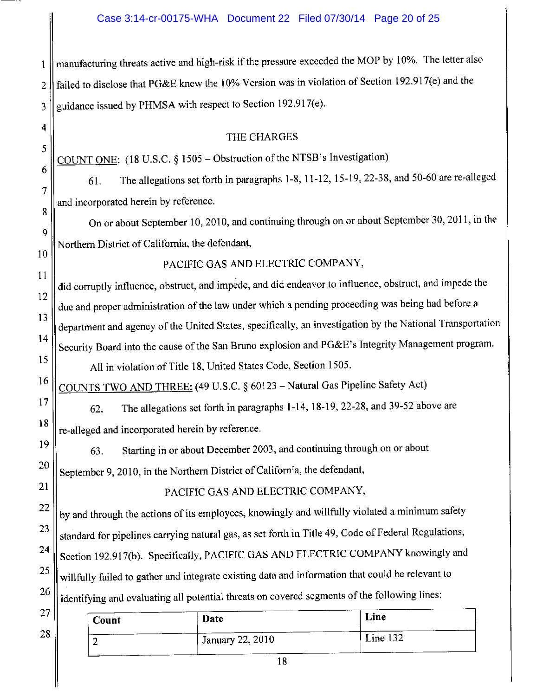manufacturing threats active and high-risk if the pressure exceeded the MOP by 10%. The letter also  $\mathbf{1}$ failed to disclose that PG&E knew the 10% Version was in violation of Section 192.917(e) and the  $\overline{2}$ guidance issued by PHMSA with respect to Section 192.917(e). 3

#### THE CHARGES

COUNT ONE: (18 U.S.C. § 1505 – Obstruction of the NTSB's Investigation)

The allegations set forth in paragraphs 1-8, 11-12, 15-19, 22-38, and 50-60 are re-alleged 61. and incorporated herein by reference.

On or about September 10, 2010, and continuing through on or about September 30, 2011, in the Northern District of California, the defendant,

 $10$ 

 $11$ 

16

 $17$ 

18

19

20

21

22

23

24

25

26

 $\overline{4}$ 

5

6

 $\overline{7}$ 

8

9

PACIFIC GAS AND ELECTRIC COMPANY,

did corruptly influence, obstruct, and impede, and did endeavor to influence, obstruct, and impede the 12 due and proper administration of the law under which a pending proceeding was being had before a  $13$ department and agency of the United States, specifically, an investigation by the National Transportation 14 Security Board into the cause of the San Bruno explosion and PG&E's Integrity Management program. 15 All in violation of Title 18, United States Code, Section 1505.

COUNTS TWO AND THREE: (49 U.S.C. § 60123 - Natural Gas Pipeline Safety Act)

The allegations set forth in paragraphs 1-14, 18-19, 22-28, and 39-52 above are 62. re-alleged and incorporated herein by reference.

Starting in or about December 2003, and continuing through on or about 63. September 9, 2010, in the Northern District of California, the defendant,

PACIFIC GAS AND ELECTRIC COMPANY,

by and through the actions of its employees, knowingly and willfully violated a minimum safety standard for pipelines carrying natural gas, as set forth in Title 49, Code of Federal Regulations, Section 192.917(b). Specifically, PACIFIC GAS AND ELECTRIC COMPANY knowingly and willfully failed to gather and integrate existing data and information that could be relevant to identifying and evaluating all potential threats on covered segments of the following lines:

| 27 | Count | Date             | Line     |
|----|-------|------------------|----------|
| 28 |       | January 22, 2010 | Line 132 |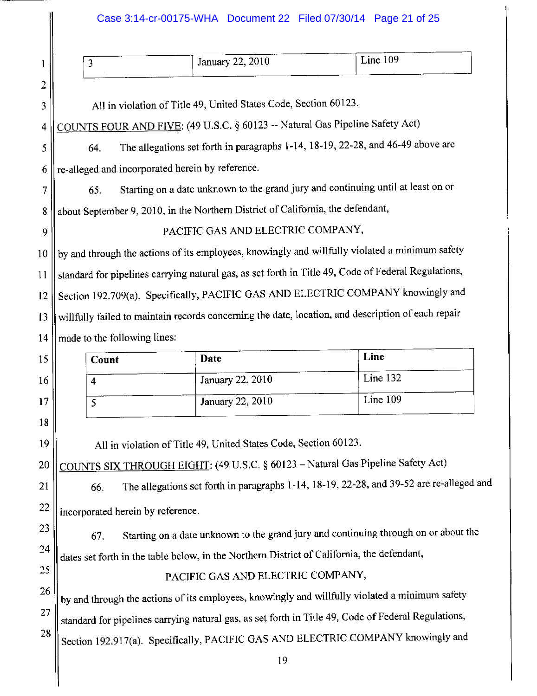### Case 3:14-cr-00175-WHA Document 22 Filed 07/30/14 Page 21 of 25

| ັ | January 22, 2010 | Line 109 |
|---|------------------|----------|
|   |                  |          |

All in violation of Title 49, United States Code, Section 60123.

 $\mathbf{1}$ 

 $\overline{c}$ 

3

 $\overline{4}$ 

9

15

16

17

18

19

20

21

22

23

24

25

26

27

28

COUNTS FOUR AND FIVE: (49 U.S.C. § 60123 -- Natural Gas Pipeline Safety Act)

The allegations set forth in paragraphs 1-14, 18-19, 22-28, and 46-49 above are 5 64. re-alleged and incorporated herein by reference. 6

Starting on a date unknown to the grand jury and continuing until at least on or  $\overline{7}$ 65.

about September 9, 2010, in the Northern District of California, the defendant, 8

PACIFIC GAS AND ELECTRIC COMPANY,

by and through the actions of its employees, knowingly and willfully violated a minimum safety 10 standard for pipelines carrying natural gas, as set forth in Title 49, Code of Federal Regulations,  $11$ Section 192.709(a). Specifically, PACIFIC GAS AND ELECTRIC COMPANY knowingly and 12 willfully failed to maintain records concerning the date, location, and description of each repair 13 made to the following lines: 14

| Count | Date                    | Line     |
|-------|-------------------------|----------|
| 4     | January 22, 2010        | Line 132 |
| پ     | <b>January 22, 2010</b> | Line 109 |

All in violation of Title 49, United States Code, Section 60123.

COUNTS SIX THROUGH EIGHT: (49 U.S.C. § 60123 - Natural Gas Pipeline Safety Act)

The allegations set forth in paragraphs 1-14, 18-19, 22-28, and 39-52 are re-alleged and 66. incorporated herein by reference.

Starting on a date unknown to the grand jury and continuing through on or about the 67. dates set forth in the table below, in the Northern District of California, the defendant,

PACIFIC GAS AND ELECTRIC COMPANY,

by and through the actions of its employees, knowingly and willfully violated a minimum safety standard for pipelines carrying natural gas, as set forth in Title 49, Code of Federal Regulations, Section 192.917(a). Specifically, PACIFIC GAS AND ELECTRIC COMPANY knowingly and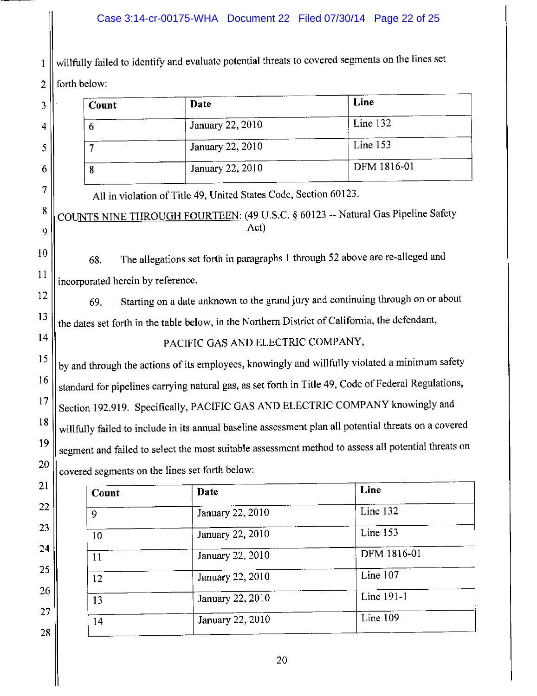### Case 3:14-cr-00175-WHA Document 22 Filed 07/30/14 Page 22 of 25

willfully failed to identify and evaluate potential threats to covered segments on the lines set 1  $\overline{2}$ forth below:

 $\mathfrak{Z}$ 

 $\overline{4}$ 

5

6

 $\overline{7}$ 

8

9

10

 $11$ 

12

13

14

15

16

17

21

22

23

24

25

26

27

28

| Count | Date                    | Line        |
|-------|-------------------------|-------------|
| Ð     | January 22, 2010        | Line $132$  |
|       | <b>January 22, 2010</b> | Line 153    |
| 8     | January 22, 2010        | DFM 1816-01 |

All in violation of Title 49, United States Code, Section 60123. COUNTS NINE THROUGH FOURTEEN: (49 U.S.C. § 60123 -- Natural Gas Pipeline Safety Act)

The allegations set forth in paragraphs 1 through 52 above are re-alleged and 68. incorporated herein by reference.

Starting on a date unknown to the grand jury and continuing through on or about 69. the dates set forth in the table below, in the Northern District of California, the defendant,

### PACIFIC GAS AND ELECTRIC COMPANY,

by and through the actions of its employees, knowingly and willfully violated a minimum safety standard for pipelines carrying natural gas, as set forth in Title 49, Code of Federal Regulations, Section 192.919. Specifically, PACIFIC GAS AND ELECTRIC COMPANY knowingly and 18 willfully failed to include in its annual baseline assessment plan all potential threats on a covered 19 segment and failed to select the most suitable assessment method to assess all potential threats on 20 covered segments on the lines set forth below:

| Count | Date             | Line         |
|-------|------------------|--------------|
| 9     | January 22, 2010 | Line 132     |
| 10    | January 22, 2010 | Line 153     |
| 11    | January 22, 2010 | DFM 1816-01  |
| 12    | January 22, 2010 | Line $107$   |
| 13    | January 22, 2010 | Line $191-1$ |
| 14    | January 22, 2010 | Line $109$   |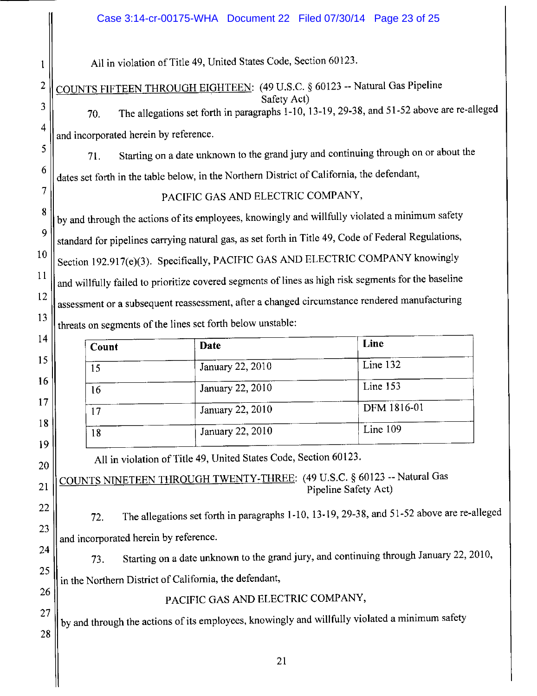All in violation of Title 49, United States Code, Section 60123.

COUNTS FIFTEEN THROUGH EIGHTEEN: (49 U.S.C. § 60123 -- Natural Gas Pipeline

Safety Act) The allegations set forth in paragraphs 1-10, 13-19, 29-38, and 51-52 above are re-alleged 70. and incorporated herein by reference.

Starting on a date unknown to the grand jury and continuing through on or about the 71. dates set forth in the table below, in the Northern District of California, the defendant,

PACIFIC GAS AND ELECTRIC COMPANY,

by and through the actions of its employees, knowingly and willfully violated a minimum safety standard for pipelines carrying natural gas, as set forth in Title 49, Code of Federal Regulations, Section 192.917(e)(3). Specifically, PACIFIC GAS AND ELECTRIC COMPANY knowingly and willfully failed to prioritize covered segments of lines as high risk segments for the baseline assessment or a subsequent reassessment, after a changed circumstance rendered manufacturing threats on segments of the lines set forth below unstable:

| Count | Date             | Line        |
|-------|------------------|-------------|
| 15    | January 22, 2010 | Line 132    |
| 16    | January 22, 2010 | Line 153    |
| 17    | January 22, 2010 | DFM 1816-01 |
| 18    | January 22, 2010 | Line 109    |

All in violation of Title 49, United States Code, Section 60123.

COUNTS NINETEEN THROUGH TWENTY-THREE: (49 U.S.C. § 60123 -- Natural Gas Pipeline Safety Act)

The allegations set forth in paragraphs 1-10, 13-19, 29-38, and 51-52 above are re-alleged 72. and incorporated herein by reference.

Starting on a date unknown to the grand jury, and continuing through January 22, 2010, 73. in the Northern District of California, the defendant,

PACIFIC GAS AND ELECTRIC COMPANY,

by and through the actions of its employees, knowingly and willfully violated a minimum safety

25

26

27

28

 $\mathbf{1}$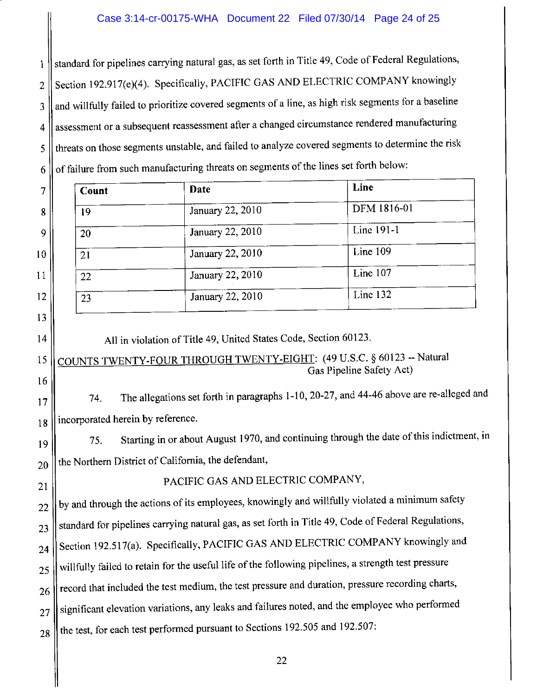standard for pipelines carrying natural gas, as set forth in Title 49, Code of Federal Regulations,  $\mathbf{1}$ Section 192.917(e)(4). Specifically, PACIFIC GAS AND ELECTRIC COMPANY knowingly  $\overline{2}$ and willfully failed to prioritize covered segments of a line, as high risk segments for a baseline 3 assessment or a subsequent reassessment after a changed circumstance rendered manufacturing  $\overline{4}$ threats on those segments unstable, and failed to analyze covered segments to determine the risk 5 of failure from such manufacturing threats on segments of the lines set forth below: 6

| $\overline{7}$ | Count | Date             | Line        |
|----------------|-------|------------------|-------------|
| 8              | 19    | January 22, 2010 | DFM 1816-01 |
| 9              | 20    | January 22, 2010 | Line 191-1  |
| 10             | 21    | January 22, 2010 | Line 109    |
| 11             | 22    | January 22, 2010 | Line 107    |
| 12             | 23    | January 22, 2010 | Line 132    |
|                |       |                  |             |

All in violation of Title 49, United States Code, Section 60123.

13

14

15

16

 $17$ 

18

21

COUNTS TWENTY-FOUR THROUGH TWENTY-EIGHT: (49 U.S.C. § 60123 -- Natural Gas Pipeline Safety Act)

The allegations set forth in paragraphs 1-10, 20-27, and 44-46 above are re-alleged and 74. incorporated herein by reference.

Starting in or about August 1970, and continuing through the date of this indictment, in 75. 19 the Northern District of California, the defendant, 20

PACIFIC GAS AND ELECTRIC COMPANY,

by and through the actions of its employees, knowingly and willfully violated a minimum safety 22 standard for pipelines carrying natural gas, as set forth in Title 49, Code of Federal Regulations, 23 Section 192.517(a). Specifically, PACIFIC GAS AND ELECTRIC COMPANY knowingly and  $24$ willfully failed to retain for the useful life of the following pipelines, a strength test pressure 25 record that included the test medium, the test pressure and duration, pressure recording charts, 26 significant elevation variations, any leaks and failures noted, and the employee who performed 27 the test, for each test performed pursuant to Sections 192.505 and 192.507: 28